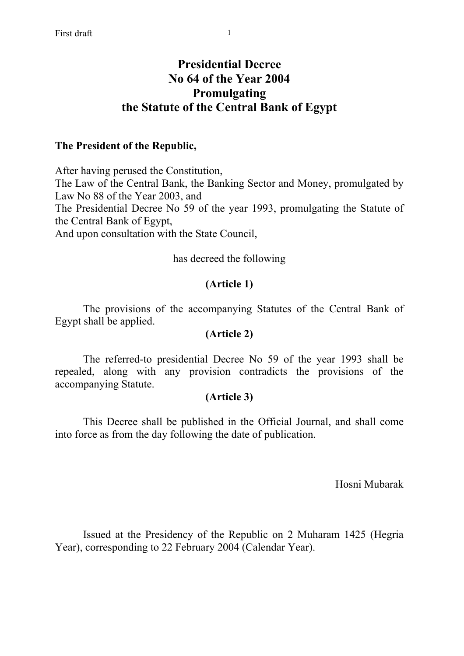# **Presidential Decree No 64 of the Year 2004 Promulgating the Statute of the Central Bank of Egypt**

### **The President of the Republic,**

After having perused the Constitution, The Law of the Central Bank, the Banking Sector and Money, promulgated by Law No 88 of the Year 2003, and The Presidential Decree No 59 of the year 1993, promulgating the Statute of the Central Bank of Egypt, And upon consultation with the State Council,

#### has decreed the following

# **(Article 1)**

 The provisions of the accompanying Statutes of the Central Bank of Egypt shall be applied.

### **(Article 2)**

 The referred-to presidential Decree No 59 of the year 1993 shall be repealed, along with any provision contradicts the provisions of the accompanying Statute.

#### **(Article 3)**

 This Decree shall be published in the Official Journal, and shall come into force as from the day following the date of publication.

Hosni Mubarak

Issued at the Presidency of the Republic on 2 Muharam 1425 (Hegria Year), corresponding to 22 February 2004 (Calendar Year).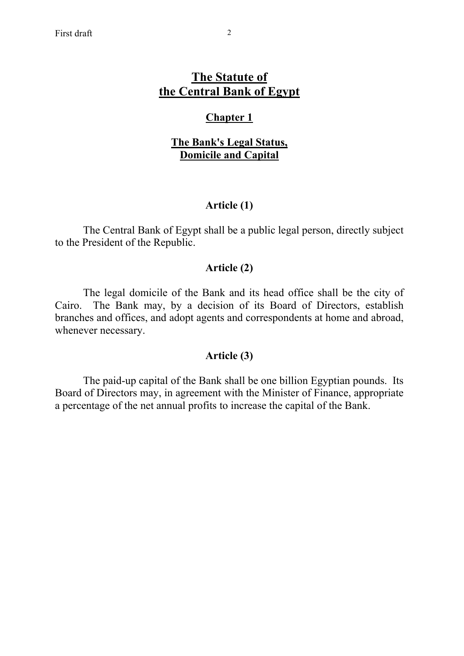# **The Statute of the Central Bank of Egypt**

# **Chapter 1**

# **The Bank's Legal Status, Domicile and Capital**

# **Article (1)**

 The Central Bank of Egypt shall be a public legal person, directly subject to the President of the Republic.

# **Article (2)**

 The legal domicile of the Bank and its head office shall be the city of Cairo. The Bank may, by a decision of its Board of Directors, establish branches and offices, and adopt agents and correspondents at home and abroad, whenever necessary.

# **Article (3)**

 The paid-up capital of the Bank shall be one billion Egyptian pounds. Its Board of Directors may, in agreement with the Minister of Finance, appropriate a percentage of the net annual profits to increase the capital of the Bank.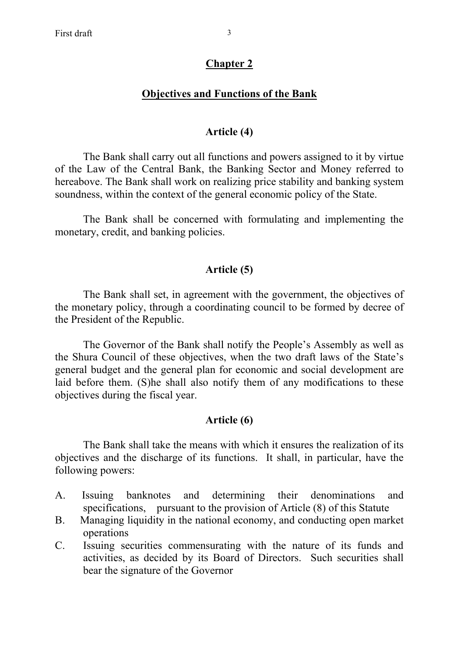# **Objectives and Functions of the Bank**

# **Article (4)**

 The Bank shall carry out all functions and powers assigned to it by virtue of the Law of the Central Bank, the Banking Sector and Money referred to hereabove. The Bank shall work on realizing price stability and banking system soundness, within the context of the general economic policy of the State.

 The Bank shall be concerned with formulating and implementing the monetary, credit, and banking policies.

# **Article (5)**

 The Bank shall set, in agreement with the government, the objectives of the monetary policy, through a coordinating council to be formed by decree of the President of the Republic.

 The Governor of the Bank shall notify the People's Assembly as well as the Shura Council of these objectives, when the two draft laws of the State's general budget and the general plan for economic and social development are laid before them. (S)he shall also notify them of any modifications to these objectives during the fiscal year.

# **Article (6)**

 The Bank shall take the means with which it ensures the realization of its objectives and the discharge of its functions. It shall, in particular, have the following powers:

- A. Issuing banknotes and determining their denominations and specifications, pursuant to the provision of Article (8) of this Statute
- B. Managing liquidity in the national economy, and conducting open market operations
- C. Issuing securities commensurating with the nature of its funds and activities, as decided by its Board of Directors. Such securities shall bear the signature of the Governor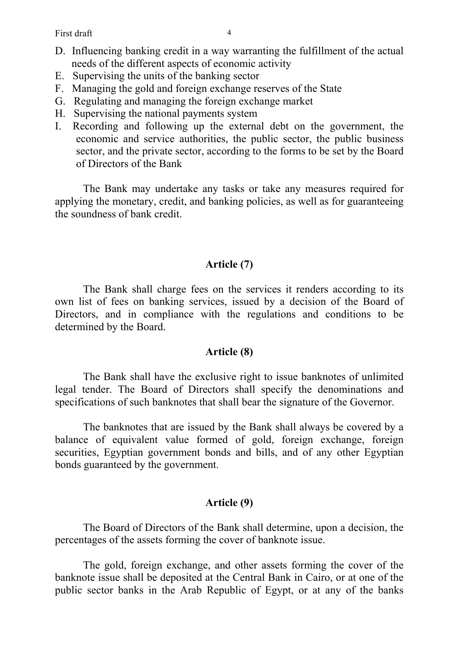First draft 4

- D. Influencing banking credit in a way warranting the fulfillment of the actual needs of the different aspects of economic activity
- E. Supervising the units of the banking sector
- F. Managing the gold and foreign exchange reserves of the State
- G. Regulating and managing the foreign exchange market
- H. Supervising the national payments system
- I. Recording and following up the external debt on the government, the economic and service authorities, the public sector, the public business sector, and the private sector, according to the forms to be set by the Board of Directors of the Bank

The Bank may undertake any tasks or take any measures required for applying the monetary, credit, and banking policies, as well as for guaranteeing the soundness of bank credit.

# **Article (7)**

The Bank shall charge fees on the services it renders according to its own list of fees on banking services, issued by a decision of the Board of Directors, and in compliance with the regulations and conditions to be determined by the Board.

#### **Article (8)**

 The Bank shall have the exclusive right to issue banknotes of unlimited legal tender. The Board of Directors shall specify the denominations and specifications of such banknotes that shall bear the signature of the Governor.

 The banknotes that are issued by the Bank shall always be covered by a balance of equivalent value formed of gold, foreign exchange, foreign securities, Egyptian government bonds and bills, and of any other Egyptian bonds guaranteed by the government.

# **Article (9)**

 The Board of Directors of the Bank shall determine, upon a decision, the percentages of the assets forming the cover of banknote issue.

 The gold, foreign exchange, and other assets forming the cover of the banknote issue shall be deposited at the Central Bank in Cairo, or at one of the public sector banks in the Arab Republic of Egypt, or at any of the banks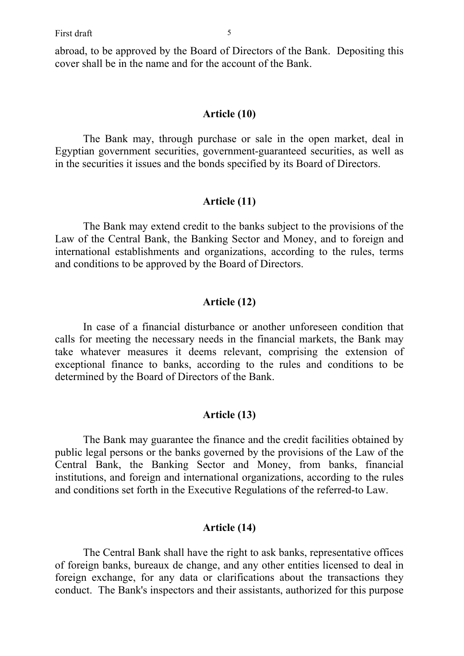abroad, to be approved by the Board of Directors of the Bank. Depositing this cover shall be in the name and for the account of the Bank.

#### **Article (10)**

 The Bank may, through purchase or sale in the open market, deal in Egyptian government securities, government-guaranteed securities, as well as in the securities it issues and the bonds specified by its Board of Directors.

#### **Article (11)**

 The Bank may extend credit to the banks subject to the provisions of the Law of the Central Bank, the Banking Sector and Money, and to foreign and international establishments and organizations, according to the rules, terms and conditions to be approved by the Board of Directors.

#### **Article (12)**

 In case of a financial disturbance or another unforeseen condition that calls for meeting the necessary needs in the financial markets, the Bank may take whatever measures it deems relevant, comprising the extension of exceptional finance to banks, according to the rules and conditions to be determined by the Board of Directors of the Bank.

### **Article (13)**

 The Bank may guarantee the finance and the credit facilities obtained by public legal persons or the banks governed by the provisions of the Law of the Central Bank, the Banking Sector and Money, from banks, financial institutions, and foreign and international organizations, according to the rules and conditions set forth in the Executive Regulations of the referred-to Law.

#### **Article (14)**

 The Central Bank shall have the right to ask banks, representative offices of foreign banks, bureaux de change, and any other entities licensed to deal in foreign exchange, for any data or clarifications about the transactions they conduct. The Bank's inspectors and their assistants, authorized for this purpose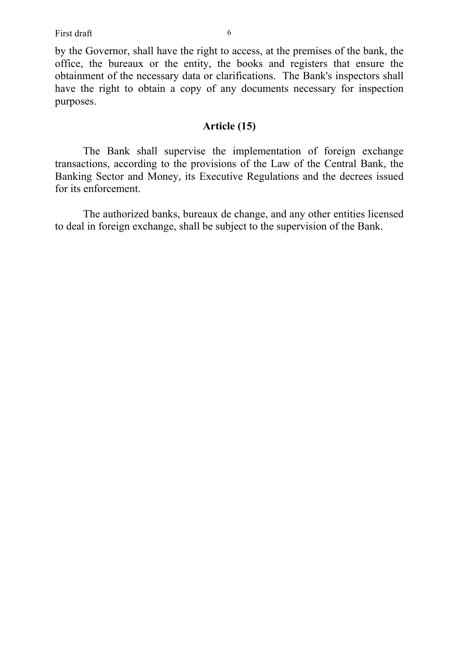by the Governor, shall have the right to access, at the premises of the bank, the office, the bureaux or the entity, the books and registers that ensure the obtainment of the necessary data or clarifications. The Bank's inspectors shall have the right to obtain a copy of any documents necessary for inspection purposes.

# **Article (15)**

 The Bank shall supervise the implementation of foreign exchange transactions, according to the provisions of the Law of the Central Bank, the Banking Sector and Money, its Executive Regulations and the decrees issued for its enforcement.

 The authorized banks, bureaux de change, and any other entities licensed to deal in foreign exchange, shall be subject to the supervision of the Bank.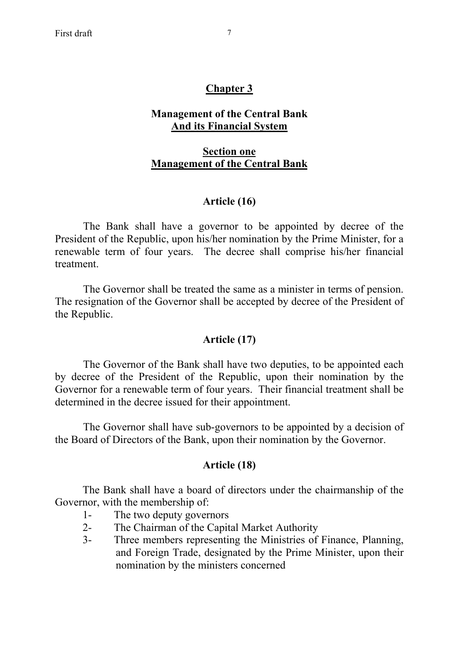# **Chapter 3**

### **Management of the Central Bank And its Financial System**

# **Section one Management of the Central Bank**

# **Article (16)**

 The Bank shall have a governor to be appointed by decree of the President of the Republic, upon his/her nomination by the Prime Minister, for a renewable term of four years. The decree shall comprise his/her financial treatment.

 The Governor shall be treated the same as a minister in terms of pension. The resignation of the Governor shall be accepted by decree of the President of the Republic.

#### **Article (17)**

 The Governor of the Bank shall have two deputies, to be appointed each by decree of the President of the Republic, upon their nomination by the Governor for a renewable term of four years. Their financial treatment shall be determined in the decree issued for their appointment.

 The Governor shall have sub-governors to be appointed by a decision of the Board of Directors of the Bank, upon their nomination by the Governor.

#### **Article (18)**

The Bank shall have a board of directors under the chairmanship of the Governor, with the membership of:

- 1- The two deputy governors
- 2- The Chairman of the Capital Market Authority
- 3- Three members representing the Ministries of Finance, Planning, and Foreign Trade, designated by the Prime Minister, upon their nomination by the ministers concerned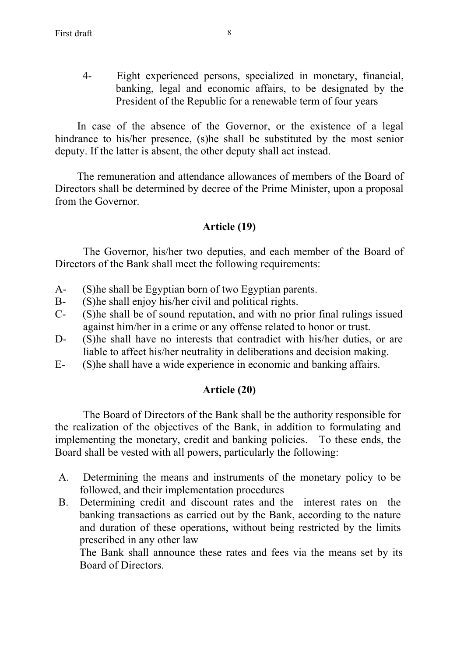4- Eight experienced persons, specialized in monetary, financial, banking, legal and economic affairs, to be designated by the President of the Republic for a renewable term of four years

In case of the absence of the Governor, or the existence of a legal hindrance to his/her presence, (s)he shall be substituted by the most senior deputy. If the latter is absent, the other deputy shall act instead.

The remuneration and attendance allowances of members of the Board of Directors shall be determined by decree of the Prime Minister, upon a proposal from the Governor.

# **Article (19)**

 The Governor, his/her two deputies, and each member of the Board of Directors of the Bank shall meet the following requirements:

- A- (S)he shall be Egyptian born of two Egyptian parents.
- B- (S)he shall enjoy his/her civil and political rights.
- C- (S)he shall be of sound reputation, and with no prior final rulings issued against him/her in a crime or any offense related to honor or trust.
- D- (S)he shall have no interests that contradict with his/her duties, or are liable to affect his/her neutrality in deliberations and decision making.
- E- (S)he shall have a wide experience in economic and banking affairs.

# **Article (20)**

 The Board of Directors of the Bank shall be the authority responsible for the realization of the objectives of the Bank, in addition to formulating and implementing the monetary, credit and banking policies. To these ends, the Board shall be vested with all powers, particularly the following:

- A. Determining the means and instruments of the monetary policy to be followed, and their implementation procedures
- B. Determining credit and discount rates and the interest rates on the banking transactions as carried out by the Bank, according to the nature and duration of these operations, without being restricted by the limits prescribed in any other law

The Bank shall announce these rates and fees via the means set by its Board of Directors.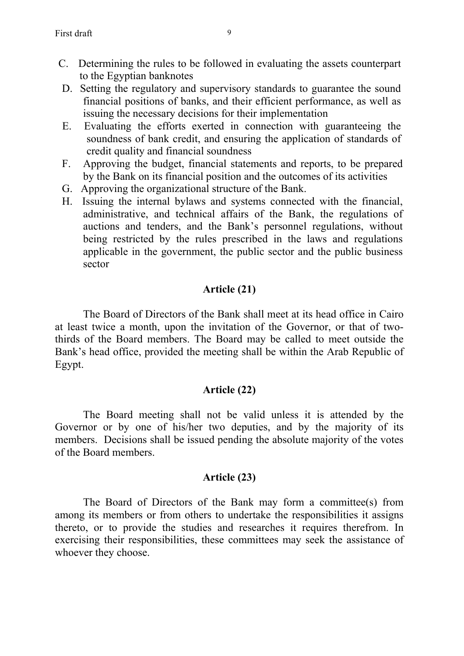- C. Determining the rules to be followed in evaluating the assets counterpart to the Egyptian banknotes
- D. Setting the regulatory and supervisory standards to guarantee the sound financial positions of banks, and their efficient performance, as well as issuing the necessary decisions for their implementation
- E. Evaluating the efforts exerted in connection with guaranteeing the soundness of bank credit, and ensuring the application of standards of credit quality and financial soundness
- F. Approving the budget, financial statements and reports, to be prepared by the Bank on its financial position and the outcomes of its activities
- G. Approving the organizational structure of the Bank.
- H. Issuing the internal bylaws and systems connected with the financial, administrative, and technical affairs of the Bank, the regulations of auctions and tenders, and the Bank's personnel regulations, without being restricted by the rules prescribed in the laws and regulations applicable in the government, the public sector and the public business sector

# **Article (21)**

The Board of Directors of the Bank shall meet at its head office in Cairo at least twice a month, upon the invitation of the Governor, or that of twothirds of the Board members. The Board may be called to meet outside the Bank's head office, provided the meeting shall be within the Arab Republic of Egypt.

# **Article (22)**

The Board meeting shall not be valid unless it is attended by the Governor or by one of his/her two deputies, and by the majority of its members. Decisions shall be issued pending the absolute majority of the votes of the Board members.

# **Article (23)**

 The Board of Directors of the Bank may form a committee(s) from among its members or from others to undertake the responsibilities it assigns thereto, or to provide the studies and researches it requires therefrom. In exercising their responsibilities, these committees may seek the assistance of whoever they choose.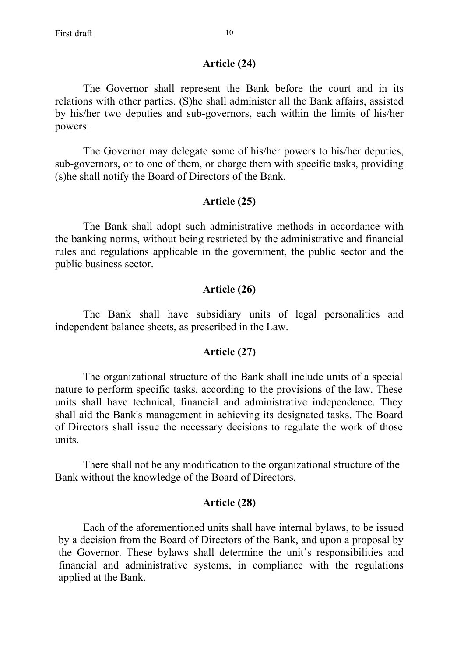#### **Article (24)**

The Governor shall represent the Bank before the court and in its relations with other parties. (S)he shall administer all the Bank affairs, assisted by his/her two deputies and sub-governors, each within the limits of his/her powers.

The Governor may delegate some of his/her powers to his/her deputies, sub-governors, or to one of them, or charge them with specific tasks, providing (s)he shall notify the Board of Directors of the Bank.

#### **Article (25)**

The Bank shall adopt such administrative methods in accordance with the banking norms, without being restricted by the administrative and financial rules and regulations applicable in the government, the public sector and the public business sector.

#### **Article (26)**

 The Bank shall have subsidiary units of legal personalities and independent balance sheets, as prescribed in the Law.

#### **Article (27)**

The organizational structure of the Bank shall include units of a special nature to perform specific tasks, according to the provisions of the law. These units shall have technical, financial and administrative independence. They shall aid the Bank's management in achieving its designated tasks. The Board of Directors shall issue the necessary decisions to regulate the work of those units.

 There shall not be any modification to the organizational structure of the Bank without the knowledge of the Board of Directors.

#### **Article (28)**

Each of the aforementioned units shall have internal bylaws, to be issued by a decision from the Board of Directors of the Bank, and upon a proposal by the Governor. These bylaws shall determine the unit's responsibilities and financial and administrative systems, in compliance with the regulations applied at the Bank.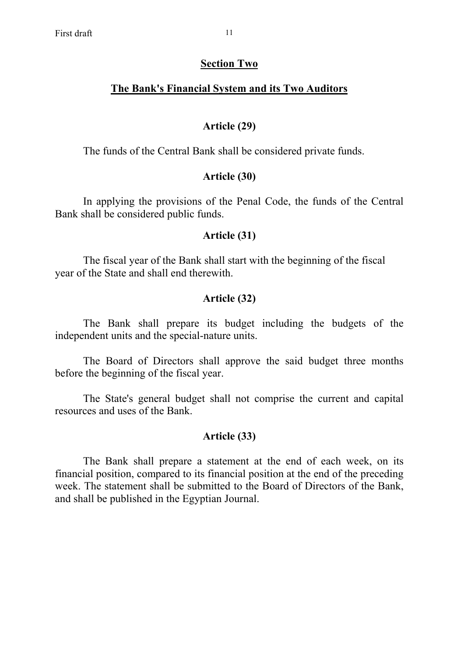#### **Section Two**

# **The Bank's Financial System and its Two Auditors**

### **Article (29)**

The funds of the Central Bank shall be considered private funds.

### **Article (30)**

In applying the provisions of the Penal Code, the funds of the Central Bank shall be considered public funds.

### **Article (31)**

 The fiscal year of the Bank shall start with the beginning of the fiscal year of the State and shall end therewith.

### **Article (32)**

 The Bank shall prepare its budget including the budgets of the independent units and the special-nature units.

 The Board of Directors shall approve the said budget three months before the beginning of the fiscal year.

 The State's general budget shall not comprise the current and capital resources and uses of the Bank.

#### **Article (33)**

 The Bank shall prepare a statement at the end of each week, on its financial position, compared to its financial position at the end of the preceding week. The statement shall be submitted to the Board of Directors of the Bank, and shall be published in the Egyptian Journal.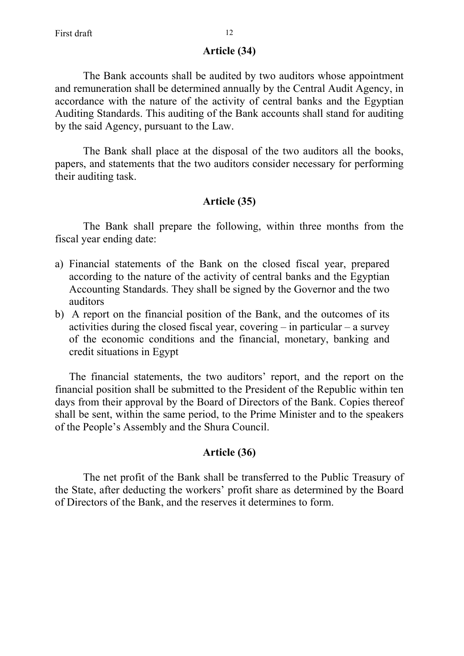#### **Article (34)**

 The Bank accounts shall be audited by two auditors whose appointment and remuneration shall be determined annually by the Central Audit Agency, in accordance with the nature of the activity of central banks and the Egyptian Auditing Standards. This auditing of the Bank accounts shall stand for auditing by the said Agency, pursuant to the Law.

 The Bank shall place at the disposal of the two auditors all the books, papers, and statements that the two auditors consider necessary for performing their auditing task.

#### **Article (35)**

 The Bank shall prepare the following, within three months from the fiscal year ending date:

- a) Financial statements of the Bank on the closed fiscal year, prepared according to the nature of the activity of central banks and the Egyptian Accounting Standards. They shall be signed by the Governor and the two auditors
- b) A report on the financial position of the Bank, and the outcomes of its activities during the closed fiscal year, covering – in particular – a survey of the economic conditions and the financial, monetary, banking and credit situations in Egypt

The financial statements, the two auditors' report, and the report on the financial position shall be submitted to the President of the Republic within ten days from their approval by the Board of Directors of the Bank. Copies thereof shall be sent, within the same period, to the Prime Minister and to the speakers of the People's Assembly and the Shura Council.

#### **Article (36)**

 The net profit of the Bank shall be transferred to the Public Treasury of the State, after deducting the workers' profit share as determined by the Board of Directors of the Bank, and the reserves it determines to form.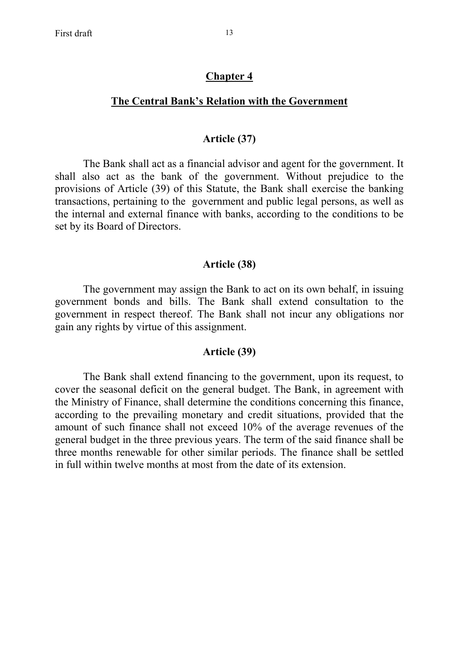#### **Chapter 4**

#### **The Central Bank's Relation with the Government**

#### **Article (37)**

 The Bank shall act as a financial advisor and agent for the government. It shall also act as the bank of the government. Without prejudice to the provisions of Article (39) of this Statute, the Bank shall exercise the banking transactions, pertaining to the government and public legal persons, as well as the internal and external finance with banks, according to the conditions to be set by its Board of Directors.

#### **Article (38)**

 The government may assign the Bank to act on its own behalf, in issuing government bonds and bills. The Bank shall extend consultation to the government in respect thereof. The Bank shall not incur any obligations nor gain any rights by virtue of this assignment.

#### **Article (39)**

 The Bank shall extend financing to the government, upon its request, to cover the seasonal deficit on the general budget. The Bank, in agreement with the Ministry of Finance, shall determine the conditions concerning this finance, according to the prevailing monetary and credit situations, provided that the amount of such finance shall not exceed 10% of the average revenues of the general budget in the three previous years. The term of the said finance shall be three months renewable for other similar periods. The finance shall be settled in full within twelve months at most from the date of its extension.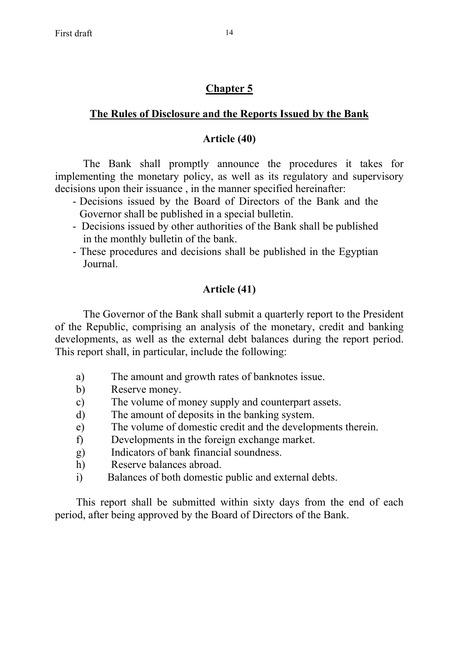# **Chapter 5**

# **The Rules of Disclosure and the Reports Issued by the Bank**

# **Article (40)**

The Bank shall promptly announce the procedures it takes for implementing the monetary policy, as well as its regulatory and supervisory decisions upon their issuance , in the manner specified hereinafter:

- Decisions issued by the Board of Directors of the Bank and the Governor shall be published in a special bulletin.
- Decisions issued by other authorities of the Bank shall be published in the monthly bulletin of the bank.
- These procedures and decisions shall be published in the Egyptian Journal.

# **Article (41)**

 The Governor of the Bank shall submit a quarterly report to the President of the Republic, comprising an analysis of the monetary, credit and banking developments, as well as the external debt balances during the report period. This report shall, in particular, include the following:

- a) The amount and growth rates of banknotes issue.
- b) Reserve money.
- c) The volume of money supply and counterpart assets.
- d) The amount of deposits in the banking system.
- e) The volume of domestic credit and the developments therein.
- f) Developments in the foreign exchange market.
- g) Indicators of bank financial soundness.
- h) Reserve balances abroad.
- i) Balances of both domestic public and external debts.

This report shall be submitted within sixty days from the end of each period, after being approved by the Board of Directors of the Bank.